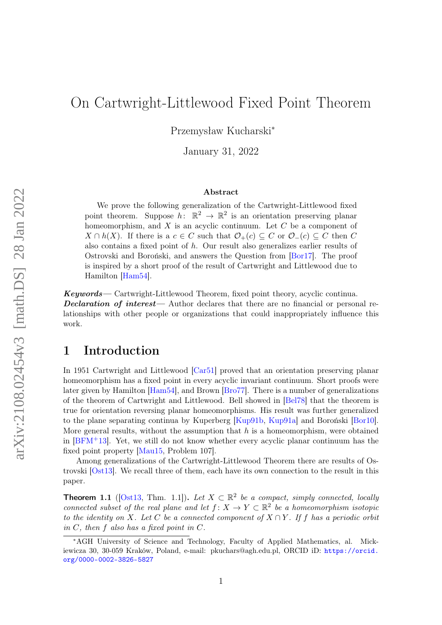# On Cartwright-Littlewood Fixed Point Theorem

Przemysław Kucharski<sup>∗</sup>

January 31, 2022

#### Abstract

We prove the following generalization of the Cartwright-Littlewood fixed point theorem. Suppose  $h: \mathbb{R}^2 \to \mathbb{R}^2$  is an orientation preserving planar homeomorphism, and  $X$  is an acyclic continuum. Let  $C$  be a component of  $X \cap h(X)$ . If there is a  $c \in C$  such that  $\mathcal{O}_+(c) \subseteq C$  or  $\mathcal{O}_-(c) \subseteq C$  then C also contains a fixed point of  $h$ . Our result also generalizes earlier results of Ostrovski and Boroński, and answers the Question from [\[Bor17\]](#page-6-0). The proof is inspired by a short proof of the result of Cartwright and Littlewood due to Hamilton [\[Ham54\]](#page-6-1).

Keywords— Cartwright-Littlewood Theorem, fixed point theory, acyclic continua. Declaration of interest— Author declares that there are no financial or personal relationships with other people or organizations that could inappropriately influence this work.

# 1 Introduction

In 1951 Cartwright and Littlewood [\[Car51\]](#page-6-2) proved that an orientation preserving planar homeomorphism has a fixed point in every acyclic invariant continuum. Short proofs were later given by Hamilton [\[Ham54\]](#page-6-1), and Brown [\[Bro77\]](#page-6-3). There is a number of generalizations of the theorem of Cartwright and Littlewood. Bell showed in [\[Bel78\]](#page-6-4) that the theorem is true for orientation reversing planar homeomorphisms. His result was further generalized to the plane separating continua by Kuperberg [\[Kup91b,](#page-7-0) [Kup91a\]](#page-7-1) and Boroński [\[Bor10\]](#page-6-5). More general results, without the assumption that  $h$  is a homeomorphism, were obtained in [\[BFM](#page-6-6)+13]. Yet, we still do not know whether every acyclic planar continuum has the fixed point property [\[Mau15,](#page-7-2) Problem 107].

Among generalizations of the Cartwright-Littlewood Theorem there are results of Ostrovski [\[Ost13\]](#page-7-3). We recall three of them, each have its own connection to the result in this paper.

<span id="page-0-0"></span>**Theorem 1.1** ([\[Ost13,](#page-7-3) Thm. 1.1]). Let  $X \subset \mathbb{R}^2$  be a compact, simply connected, locally connected subset of the real plane and let  $f: X \to Y \subset \mathbb{R}^2$  be a homeomorphism isotopic to the identity on X. Let C be a connected component of  $X \cap Y$ . If f has a periodic orbit in  $C$ , then  $f$  also has a fixed point in  $C$ .

<sup>∗</sup>AGH University of Science and Technology, Faculty of Applied Mathematics, al. Mickiewicza 30, 30-059 Kraków, Poland, e-mail: pkuchars@agh.edu.pl, ORCID iD: [https://orcid.](https://orcid.org/0000-0002-3826-5827) [org/0000-0002-3826-5827](https://orcid.org/0000-0002-3826-5827)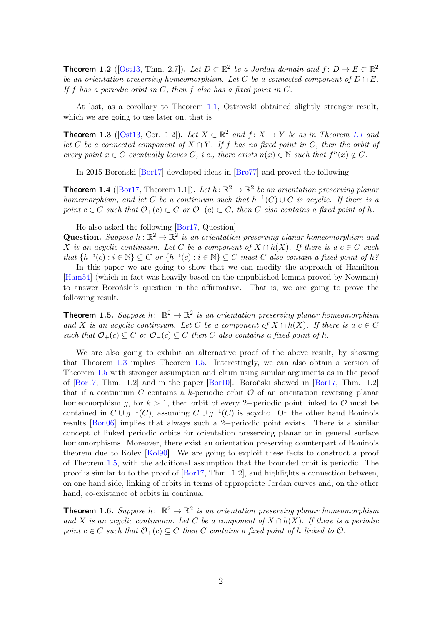**Theorem 1.2** ([\[Ost13,](#page-7-3) Thm. 2.7]). Let  $D \subset \mathbb{R}^2$  be a Jordan domain and  $f: D \to E \subset \mathbb{R}^2$ be an orientation preserving homeomorphism. Let C be a connected component of  $D \cap E$ . If f has a periodic orbit in  $C$ , then f also has a fixed point in  $C$ .

At last, as a corollary to Theorem [1.1,](#page-0-0) Ostrovski obtained slightly stronger result, which we are going to use later on, that is

<span id="page-1-0"></span>**Theorem 1.3** ([\[Ost13,](#page-7-3) Cor. 1.2]). Let  $X \subset \mathbb{R}^2$  and  $f: X \to Y$  be as in Theorem [1.1](#page-0-0) and let C be a connected component of  $X \cap Y$ . If f has no fixed point in C, then the orbit of every point  $x \in C$  eventually leaves C, i.e., there exists  $n(x) \in \mathbb{N}$  such that  $f^{n}(x) \notin C$ .

In 2015 Boroński [\[Bor17\]](#page-6-0) developed ideas in [\[Bro77\]](#page-6-3) and proved the following

**Theorem 1.4** ([\[Bor17,](#page-6-0) Theorem 1.1]). Let  $h: \mathbb{R}^2 \to \mathbb{R}^2$  be an orientation preserving planar homemorphism, and let C be a continuum such that  $h^{-1}(C) \cup C$  is acyclic. If there is a point  $c \in C$  such that  $\mathcal{O}_+(c) \subset C$  or  $\mathcal{O}_-(c) \subset C$ , then C also contains a fixed point of h.

He also asked the following [\[Bor17,](#page-6-0) Question].

**Question.** Suppose  $h : \mathbb{R}^2 \to \mathbb{R}^2$  is an orientation preserving planar homeomorphism and X is an acyclic continuum. Let C be a component of  $X \cap h(X)$ . If there is a  $c \in C$  such that  $\{h^{-i}(c) : i \in \mathbb{N}\} \subseteq C$  or  $\{h^{-i}(c) : i \in \mathbb{N}\} \subseteq C$  must C also contain a fixed point of h?

In this paper we are going to show that we can modify the approach of Hamilton [\[Ham54\]](#page-6-1) (which in fact was heavily based on the unpublished lemma proved by Newman) to answer Boroński's question in the affirmative. That is, we are going to prove the following result.

<span id="page-1-1"></span>**Theorem 1.5.** Suppose h:  $\mathbb{R}^2 \to \mathbb{R}^2$  is an orientation preserving planar homeomorphism and X is an acyclic continuum. Let C be a component of  $X \cap h(X)$ . If there is a  $c \in C$ such that  $\mathcal{O}_+(c) \subseteq C$  or  $\mathcal{O}_-(c) \subseteq C$  then C also contains a fixed point of h.

We are also going to exhibit an alternative proof of the above result, by showing that Theorem [1.3](#page-1-0) implies Theorem [1.5.](#page-1-1) Interestingly, we can also obtain a version of Theorem [1.5](#page-1-1) with stronger assumption and claim using similar arguments as in the proof of [\[Bor17,](#page-6-0) Thm. 1.2] and in the paper [\[Bor10\]](#page-6-5). Boroński showed in [\[Bor17,](#page-6-0) Thm. 1.2] that if a continuum C contains a k-periodic orbit  $\mathcal O$  of an orientation reversing planar homeomorphism g, for  $k > 1$ , then orbit of every 2−periodic point linked to  $\mathcal O$  must be contained in  $C \cup g^{-1}(C)$ , assuming  $C \cup g^{-1}(C)$  is acyclic. On the other hand Bonino's results [\[Bon06\]](#page-6-7) implies that always such a 2−periodic point exists. There is a similar concept of linked periodic orbits for orientation preserving planar or in general surface homomorphisms. Moreover, there exist an orientation preserving counterpart of Bonino's theorem due to Kolev [\[Kol90\]](#page-7-4). We are going to exploit these facts to construct a proof of Theorem [1.5,](#page-1-1) with the additional assumption that the bounded orbit is periodic. The proof is similar to to the proof of [\[Bor17,](#page-6-0) Thm. 1.2], and highlights a connection between, on one hand side, linking of orbits in terms of appropriate Jordan curves and, on the other hand, co-existance of orbits in continua.

<span id="page-1-2"></span>**Theorem 1.6.** Suppose h:  $\mathbb{R}^2 \to \mathbb{R}^2$  is an orientation preserving planar homeomorphism and X is an acyclic continuum. Let C be a component of  $X \cap h(X)$ . If there is a periodic point  $c \in C$  such that  $\mathcal{O}_+(c) \subseteq C$  then C contains a fixed point of h linked to  $\mathcal{O}$ .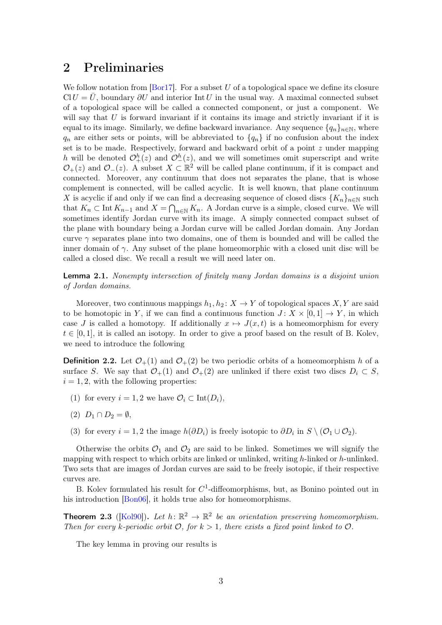### 2 Preliminaries

We follow notation from  $[Bar17]$ . For a subset U of a topological space we define its closure  $ClU = U$ , boundary  $\partial U$  and interior Int U in the usual way. A maximal connected subset of a topological space will be called a connected component, or just a component. We will say that  $U$  is forward invariant if it contains its image and strictly invariant if it is equal to its image. Similarly, we define backward invariance. Any sequence  $\{q_n\}_{n\in\mathbb{N}}$ , where  $q_n$  are either sets or points, will be abbreviated to  $\{q_n\}$  if no confusion about the index set is to be made. Respectively, forward and backward orbit of a point  $z$  under mapping h will be denoted  $\mathcal{O}_{+}^{h}(z)$  and  $\mathcal{O}_{-}^{h}(z)$ , and we will sometimes omit superscript and write  $\mathcal{O}_+(z)$  and  $\mathcal{O}_-(z)$ . A subset  $X \subset \mathbb{R}^2$  will be called plane continuum, if it is compact and connected. Moreover, any continuum that does not separates the plane, that is whose complement is connected, will be called acyclic. It is well known, that plane continuum X is acyclic if and only if we can find a decreasing sequence of closed discs  $\{K_n\}_{n\in\mathbb{N}}$  such that  $K_n \subset \text{Int } K_{n-1}$  and  $X = \bigcap_{n \in \mathbb{N}} K_n$ . A Jordan curve is a simple, closed curve. We will sometimes identify Jordan curve with its image. A simply connected compact subset of the plane with boundary being a Jordan curve will be called Jordan domain. Any Jordan curve  $\gamma$  separates plane into two domains, one of them is bounded and will be called the inner domain of  $\gamma$ . Any subset of the plane homeomorphic with a closed unit disc will be called a closed disc. We recall a result we will need later on.

<span id="page-2-0"></span>**Lemma 2.1.** Nonempty intersection of finitely many Jordan domains is a disjoint union of Jordan domains.

Moreover, two continuous mappings  $h_1, h_2 \colon X \to Y$  of topological spaces  $X, Y$  are said to be homotopic in Y, if we can find a continuous function  $J: X \times [0,1] \rightarrow Y$ , in which case J is called a homotopy. If additionally  $x \mapsto J(x,t)$  is a homeomorphism for every  $t \in [0,1]$ , it is called an isotopy. In order to give a proof based on the result of B. Kolev, we need to introduce the following

<span id="page-2-2"></span>**Definition 2.2.** Let  $\mathcal{O}_+(1)$  and  $\mathcal{O}_+(2)$  be two periodic orbits of a homeomorphism h of a surface S. We say that  $\mathcal{O}_+(1)$  and  $\mathcal{O}_+(2)$  are unlinked if there exist two discs  $D_i \subset S$ ,  $i = 1, 2$ , with the following properties:

- (1) for every  $i = 1, 2$  we have  $\mathcal{O}_i \subset \text{Int}(D_i)$ ,
- $(2)$   $D_1 \cap D_2 = \emptyset$ ,
- (3) for every  $i = 1, 2$  the image  $h(\partial D_i)$  is freely isotopic to  $\partial D_i$  in  $S \setminus (O_1 \cup O_2)$ .

Otherwise the orbits  $\mathcal{O}_1$  and  $\mathcal{O}_2$  are said to be linked. Sometimes we will signify the mapping with respect to which orbits are linked or unlinked, writing  $h$ -linked or  $h$ -unlinked. Two sets that are images of Jordan curves are said to be freely isotopic, if their respective curves are.

B. Kolev formulated his result for  $C^1$ -diffeomorphisms, but, as Bonino pointed out in his introduction [\[Bon06\]](#page-6-7), it holds true also for homeomorphisms.

<span id="page-2-1"></span>**Theorem 2.3** ([\[Kol90\]](#page-7-4)). Let  $h: \mathbb{R}^2 \to \mathbb{R}^2$  be an orientation preserving homeomorphism. Then for every k-periodic orbit  $\mathcal{O}$ , for  $k > 1$ , there exists a fixed point linked to  $\mathcal{O}$ .

The key lemma in proving our results is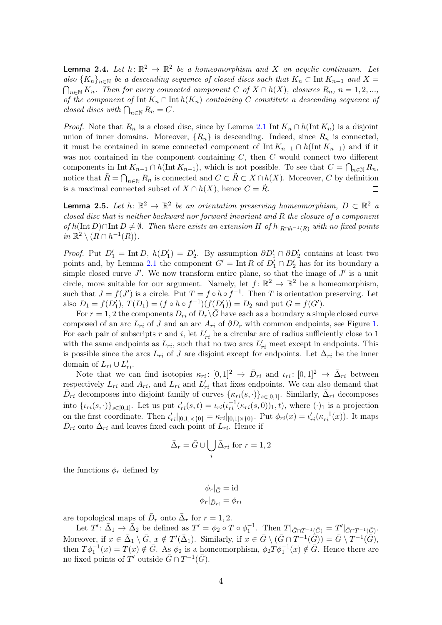<span id="page-3-0"></span>**Lemma 2.4.** Let  $h: \mathbb{R}^2 \to \mathbb{R}^2$  be a homeomorphism and X an acyclic continuum. Let also  ${K_n}_{n\in\mathbb{N}}$  be a descending sequence of closed discs such that  $K_n\subset \text{Int }K_{n-1}$  and  $X=$  $\bigcap_{n\in\mathbb{N}} K_n$ . Then for every connected component C of  $X\cap h(X)$ , closures  $R_n$ ,  $n=1,2,...$ , of the component of  $\text{Int } K_n \cap \text{Int } h(K_n)$  containing C constitute a descending sequence of closed discs with  $\bigcap_{n\in\mathbb{N}} R_n = C$ .

*Proof.* Note that  $R_n$  is a closed disc, since by Lemma [2.1](#page-2-0) Int  $K_n \cap h(\text{Int } K_n)$  is a disjoint union of inner domains. Moreover,  $\{R_n\}$  is descending. Indeed, since  $R_n$  is connected, it must be contained in some connected component of  $\text{Int } K_{n-1} \cap h(\text{Int } K_{n-1})$  and if it was not contained in the component containing  $C$ , then  $C$  would connect two different components in Int  $K_{n-1} \cap h(\text{Int } K_{n-1})$ , which is not possible. To see that  $C = \bigcap_{n \in \mathbb{N}} R_n$ , notice that  $\tilde{R} = \bigcap_{n \in \mathbb{N}} R_n$  is connected and  $C \subset \tilde{R} \subset X \cap h(X)$ . Moreover, C by definition is a maximal connected subset of  $X \cap h(X)$ , hence  $C = \tilde{R}$ .  $\Box$ 

<span id="page-3-1"></span>**Lemma 2.5.** Let  $h: \mathbb{R}^2 \to \mathbb{R}^2$  be an orientation preserving homeomorphism,  $D \subset \mathbb{R}^2$  a closed disc that is neither backward nor forward invariant and R the closure of a component of h(Int D)∩Int D  $\neq$  Ø. Then there exists an extension H of h|<sub>R∩h</sub>-1<sub>(R)</sub> with no fixed points in  $\mathbb{R}^2 \setminus (R \cap h^{-1}(R)).$ 

*Proof.* Put  $D'_1 = \text{Int } D$ ,  $h(D'_1) = D'_2$ . By assumption  $\partial D'_1 \cap \partial D'_2$  contains at least two points and, by Lemma [2.1](#page-2-0) the component  $G' = \text{Int } R$  of  $D'_1 \cap D'_2$  has for its boundary a simple closed curve  $J'$ . We now transform entire plane, so that the image of  $J'$  is a unit circle, more suitable for our argument. Namely, let  $f: \mathbb{R}^2 \to \mathbb{R}^2$  be a homeomorphism, such that  $J = f(J')$  is a circle. Put  $T = f \circ h \circ f^{-1}$ . Then T is orientation preserving. Let also  $D_1 = f(D'_1)$ ,  $T(D_1) = (f \circ h \circ f^{-1})(f(D'_1)) = D_2$  and put  $G = f(G')$ .

For  $r = 1, 2$  the components  $D_{ri}$  of  $D_r \backslash G$  have each as a boundary a simple closed curve composed of an arc  $L_{ri}$  of J and an arc  $A_{ri}$  of  $\partial D_r$  with common endpoints, see Figure [1.](#page-8-0) For each pair of subscripts r and i, let  $L'_{ri}$  be a circular arc of radius sufficiently close to 1 with the same endpoints as  $L_{ri}$ , such that no two arcs  $L'_{ri}$  meet except in endpoints. This is possible since the arcs  $L_{ri}$  of J are disjoint except for endpoints. Let  $\Delta_{ri}$  be the inner domain of  $L_{ri} \cup L'_{ri}$ .

Note that we can find isotopies  $\kappa_{ri}: [0,1]^2 \to \bar{D}_{ri}$  and  $\iota_{ri}: [0,1]^2 \to \bar{\Delta}_{ri}$  between respectively  $L_{ri}$  and  $A_{ri}$ , and  $L_{ri}$  and  $L'_{ri}$  that fixes endpoints. We can also demand that  $\bar{D}_{ri}$  decomposes into disjoint family of curves  $\{\kappa_{ri}(s,\cdot)\}_{s\in[0,1]}$ . Similarly,  $\bar{\Delta}_{ri}$  decomposes into  $\{\iota_{ri}(s,\cdot)\}_{s\in[0,1]}.$  Let us put  $\iota'_{ri}(s,t) = \iota_{ri}(\iota_{ri}^{-1}(\kappa_{ri}(s,0))_1,t)$ , where  $(\cdot)_1$  is a projection on the first coordinate. Then  $\iota'_{ri}|_{[0,1]\times\{0\}} = \kappa_{ri}|_{[0,1]\times\{0\}}$ . Put  $\phi_{ri}(x) = \iota'_{ri}(\kappa_{ri}^{-1}(x))$ . It maps  $\bar{D}_{ri}$  onto  $\bar{\Delta}_{ri}$  and leaves fixed each point of  $L_{ri}$ . Hence if

$$
\bar{\Delta}_r = \bar{G} \cup \bigcup_i \bar{\Delta}_{ri} \text{ for } r = 1, 2
$$

the functions  $\phi_r$  defined by

$$
\phi_r|_{\bar{G}} = \mathrm{id}
$$

$$
\phi_r|_{\bar{D}_{ri}} = \phi_{ri}
$$

are topological maps of  $\bar{D}_r$  onto  $\bar{\Delta}_r$  for  $r = 1, 2$ .

Let  $T' : \bar{\Delta}_1 \to \bar{\Delta}_2$  be defined as  $T' = \phi_2 \circ T \circ \phi_1^{-1}$ . Then  $T|_{\bar{G} \cap T^{-1}(\bar{G})} = T'|_{\bar{G} \cap T^{-1}(\bar{G})}$ . Moreover, if  $x \in \bar{\Delta}_1 \setminus \bar{G}$ ,  $x \notin T'(\bar{\Delta}_1)$ . Similarly, if  $x \in \bar{G} \setminus (\bar{G} \cap T^{-1}(\tilde{\bar{G}})) = \bar{G} \setminus T^{-1}(\tilde{\bar{G}})$ , then  $T\phi_1^{-1}(x) = T(x) \notin \overline{G}$ . As  $\phi_2$  is a homeomorphism,  $\phi_2 T \phi_1^{-1}(x) \notin \overline{G}$ . Hence there are no fixed points of T' outside  $\bar{G} \cap T^{-1}(\bar{G})$ .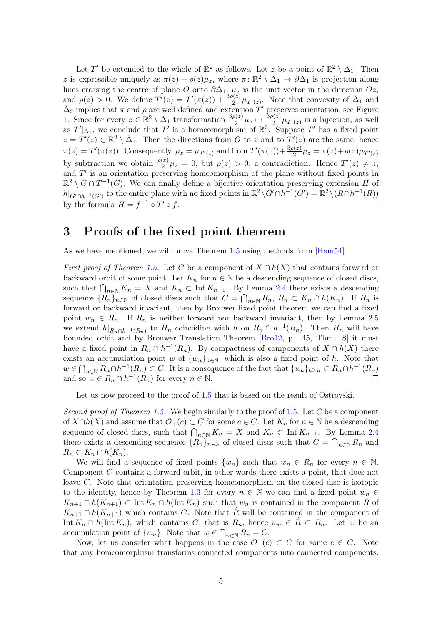Let T' be extended to the whole of  $\mathbb{R}^2$  as follows. Let z be a point of  $\mathbb{R}^2 \setminus \bar{\Delta}_1$ . Then z is expressible uniquely as  $\pi(z) + \rho(z)\mu_z$ , where  $\pi: \mathbb{R}^2 \setminus \Delta_1 \to \partial \Delta_1$  is projection along lines crossing the centre of plane O onto  $\partial \Delta_1$ ,  $\mu_z$  is the unit vector in the direction  $Oz$ , and  $\rho(z) > 0$ . We define  $T'(z) = T'(\pi(z)) + \frac{3\rho(z)}{2} \mu_{T'(z)}$ . Note that convexity of  $\bar{\Delta}_1$  and  $\bar{\Delta}_2$  implies that  $\pi$  and  $\rho$  are well defined and extension T' preserves orientation, see Figure [1.](#page-8-0) Since for every  $z \in \mathbb{R}^2 \setminus \Delta_1$  transformation  $\frac{3\rho(z)}{2} \mu_z \mapsto \frac{3\rho(z)}{2} \mu_{T'(z)}$  is a bijection, as well as  $T'|\Delta_1$ , we conclude that T' is a homeomorphism of  $\mathbb{R}^2$ . Suppose T' has a fixed point  $z = T'(z) \in \mathbb{R}^2 \setminus \overline{\Delta}_1$ . Then the directions from O to z and to  $T'(z)$  are the same, hence  $\pi(z) = T'(\pi(z))$ . Consequently,  $\mu_z = \mu_{T'(z)}$  and from  $T'(\pi(z)) + \frac{3\rho(z)}{2}\mu_z = \pi(z) + \rho(z)\mu_{T'(z)}$ by subtraction we obtain  $\frac{\rho(z)}{2}\mu_z = 0$ , but  $\rho(z) > 0$ , a contradiction. Hence  $T'(z) \neq z$ , and  $T'$  is an orientation preserving homeomorphism of the plane without fixed points in  $\mathbb{R}^2 \setminus \bar{G} \cap T^{-1}(\bar{G})$ . We can finally define a bijective orientation preserving extension H of  $h|_{\bar{G}' \cap h^{-1}(\bar{G}')}$  to the entire plane with no fixed points in  $\mathbb{R}^2 \setminus \bar{G}' \cap h^{-1}(\bar{G}') = \mathbb{R}^2 \setminus (R \cap h^{-1}(R))$ by the formula  $H = f^{-1} \circ T' \circ f$ .  $\Box$ 

# 3 Proofs of the fixed point theorem

As we have mentioned, we will prove Theorem [1.5](#page-1-1) using methods from [\[Ham54\]](#page-6-1).

First proof of Theorem [1.5.](#page-1-1) Let C be a component of  $X \cap h(X)$  that contains forward or backward orbit of some point. Let  $K_n$  for  $n \in \mathbb{N}$  be a descending sequence of closed discs, such that  $\bigcap_{n\in\mathbb{N}} K_n = X$  and  $K_n \subset \text{Int } K_{n-1}$ . By Lemma [2.4](#page-3-0) there exists a descending sequence  ${R_n}_{n\in\mathbb{N}}$  of closed discs such that  $C = \bigcap_{n\in\mathbb{N}} R_n$ ,  $R_n \subset K_n \cap h(K_n)$ . If  $R_n$  is forward or backward invariant, then by Brouwer fixed point theorem we can find a fixed point  $w_n \in R_n$ . If  $R_n$  is neither forward nor backward invariant, then by Lemma [2.5](#page-3-1) we extend  $h|_{R_n \cap h^{-1}(R_n)}$  to  $H_n$  coinciding with h on  $R_n \cap h^{-1}(R_n)$ . Then  $H_n$  will have bounded orbit and by Brouwer Translation Theorem [\[Bro12,](#page-6-8) p. 45, Thm. 8] it must have a fixed point in  $R_n \cap h^{-1}(R_n)$ . By compactness of components of  $X \cap h(X)$  there exists an accumulation point w of  $\{w_n\}_{n\in\mathbb{N}}$ , which is also a fixed point of h. Note that  $w \in \bigcap_{n \in \mathbb{N}} R_n \cap h^{-1}(R_n) \subset C$ . It is a consequence of the fact that  $\{w_k\}_{k \geq n} \subset R_n \cap h^{-1}(R_n)$ and so  $w \in R_n \cap h^{-1}(R_n)$  for every  $n \in \mathbb{N}$ .  $\Box$ 

Let us now proceed to the proof of [1.5](#page-1-1) that is based on the result of Ostrovski.

Second proof of Theorem [1.5.](#page-1-1) We begin similarly to the proof of 1.5. Let C be a component of  $X \cap h(X)$  and assume that  $\mathcal{O}_+(c) \subset C$  for some  $c \in C$ . Let  $K_n$  for  $n \in \mathbb{N}$  be a descending sequence of closed discs, such that  $\bigcap_{n\in\mathbb{N}} K_n = X$  and  $K_n \subset \text{Int } K_{n-1}$ . By Lemma [2.4](#page-3-0) there exists a descending sequence  $\{R_n\}_{n\in\mathbb{N}}$  of closed discs such that  $C = \bigcap_{n\in\mathbb{N}} R_n$  and  $R_n \subset K_n \cap h(K_n).$ 

We will find a sequence of fixed points  $\{w_n\}$  such that  $w_n \in R_n$  for every  $n \in \mathbb{N}$ . Component C contains a forward orbit, in other words there exists a point, that does not leave C. Note that orientation preserving homeomorphism on the closed disc is isotopic to the identity, hence by Theorem [1.3](#page-1-0) for every  $n \in \mathbb{N}$  we can find a fixed point  $w_n \in$  $K_{n+1} \cap h(K_{n+1}) \subset \text{Int } K_n \cap h(\text{Int } K_n)$  such that  $w_n$  is contained in the component R<sup>o</sup> of  $K_{n+1} \cap h(K_{n+1})$  which contains C. Note that  $\hat{R}$  will be contained in the component of Int  $K_n \cap h(\text{Int } K_n)$ , which contains C, that is  $R_n$ , hence  $w_n \in R \subset R_n$ . Let w be an accumulation point of  $\{w_n\}$ . Note that  $w \in \bigcap_{n \in \mathbb{N}} R_n = C$ .

Now, let us consider what happens in the case  $\mathcal{O}_-(c) \subset C$  for some  $c \in C$ . Note that any homeomorphism transforms connected components into connected components.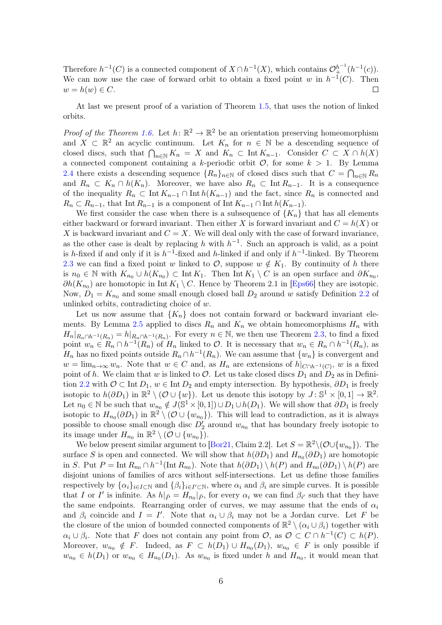Therefore  $h^{-1}(C)$  is a connected component of  $X \cap h^{-1}(X)$ , which contains  $\mathcal{O}_{+}^{h^{-1}}(h^{-1}(c))$ . We can now use the case of forward orbit to obtain a fixed point w in  $h^{-1}(C)$ . Then  $w = h(w) \in C.$  $\Box$ 

At last we present proof of a variation of Theorem [1.5,](#page-1-1) that uses the notion of linked orbits.

*Proof of the Theorem [1.6.](#page-1-2)* Let  $h: \mathbb{R}^2 \to \mathbb{R}^2$  be an orientation preserving homeomorphism and  $X \subset \mathbb{R}^2$  an acyclic continuum. Let  $K_n$  for  $n \in \mathbb{N}$  be a descending sequence of closed discs, such that  $\bigcap_{n\in\mathbb{N}} K_n = X$  and  $K_n \subset \text{Int } K_{n-1}$ . Consider  $C \subset X \cap h(X)$ a connected component containing a k-periodic orbit  $\mathcal{O}$ , for some  $k > 1$ . By Lemma [2.4](#page-3-0) there exists a descending sequence  $\{R_n\}_{n\in\mathbb{N}}$  of closed discs such that  $C = \bigcap_{n\in\mathbb{N}} R_n$ and  $R_n \subset K_n \cap h(K_n)$ . Moreover, we have also  $R_n \subset \text{Int } R_{n-1}$ . It is a consequence of the inequality  $R_n \subset \text{Int } K_{n-1} \cap \text{Int } h(K_{n-1})$  and the fact, since  $R_n$  is connected and  $R_n \subset R_{n-1}$ , that Int  $R_{n-1}$  is a component of Int  $K_{n-1} \cap \text{Int } h(K_{n-1})$ .

We first consider the case when there is a subsequence of  ${K_n}$  that has all elements either backward or forward invariant. Then either X is forward invariant and  $C = h(X)$  or X is backward invariant and  $C = X$ . We will deal only with the case of forward invariance, as the other case is dealt by replacing h with  $h^{-1}$ . Such an approach is valid, as a point is h-fixed if and only if it is  $h^{-1}$ -fixed and h-linked if and only if  $h^{-1}$ -linked. By Theorem [2.3](#page-2-1) we can find a fixed point w linked to  $\mathcal{O}$ , suppose  $w \notin K_1$ . By continuity of h there is  $n_0 \in \mathbb{N}$  with  $K_{n_0} \cup h(K_{n_0}) \subset \text{Int } K_1$ . Then  $\text{Int } K_1 \setminus C$  is an open surface and  $\partial K_{n_0}$ ,  $\partial h(K_{n_0})$  are homotopic in Int  $K_1 \setminus C$ . Hence by Theorem 2.1 in [\[Eps66\]](#page-6-9) they are isotopic. Now,  $D_1 = K_{n_0}$  and some small enough closed ball  $D_2$  around w satisfy Definition [2.2](#page-2-2) of unlinked orbits, contradicting choice of w.

Let us now assume that  ${K_n}$  does not contain forward or backward invariant ele-ments. By Lemma [2.5](#page-3-1) applied to discs  $R_n$  and  $K_n$  we obtain homeomorphisms  $H_n$  with  $H_n|_{R_n \cap h^{-1}(R_n)} = h|_{R_n \cap h^{-1}(R_n)}$ . For every  $n \in \mathbb{N}$ , we then use Theorem [2.3,](#page-2-1) to find a fixed point  $w_n \in R_n \cap h^{-1}(R_n)$  of  $H_n$  linked to  $\mathcal{O}$ . It is necessary that  $w_n \in R_n \cap h^{-1}(R_n)$ , as  $H_n$  has no fixed points outside  $R_n \cap h^{-1}(R_n)$ . We can assume that  $\{w_n\}$  is convergent and  $w = \lim_{n \to \infty} w_n$ . Note that  $w \in C$  and, as  $H_n$  are extensions of  $h|_{C \cap h^{-1}(C)}$ , w is a fixed point of h. We claim that w is linked to  $\mathcal{O}$ . Let us take closed discs  $D_1$  and  $D_2$  as in Defini-tion [2.2](#page-2-2) with  $\mathcal{O} \subset \text{Int } D_1$ ,  $w \in \text{Int } D_2$  and empty intersection. By hypothesis,  $\partial D_1$  is freely isotopic to  $h(\partial D_1)$  in  $\mathbb{R}^2 \setminus (\mathcal{O} \cup \{w\})$ . Let us denote this isotopy by  $J: \mathbb{S}^1 \times [0,1] \to \mathbb{R}^2$ . Let  $n_0 \in \mathbb{N}$  be such that  $w_{n_0} \notin J(\mathbb{S}^1 \times [0, 1]) \cup D_1 \cup h(D_1)$ . We will show that  $\partial D_1$  is freely isotopic to  $H_{n_0}(\partial D_1)$  in  $\mathbb{R}^2 \setminus (\mathcal{O} \cup \{w_{n_0}\})$ . This will lead to contradiction, as it is always possible to choose small enough disc  $D'_2$  around  $w_{n_0}$  that has boundary freely isotopic to its image under  $H_{n_0}$  in  $\mathbb{R}^2 \setminus (\mathcal{O} \cup \{w_{n_0}\})$ .

We below present similar argument to [\[Bor21,](#page-6-10) Claim 2.2]. Let  $S = \mathbb{R}^2 \setminus (\mathcal{O} \cup \{w_{n_0}\})$ . The surface S is open and connected. We will show that  $h(\partial D_1)$  and  $H_{n_0}(\partial D_1)$  are homotopic in S. Put  $P = \text{Int } R_{n_0} \cap h^{-1}(\text{Int } R_{n_0})$ . Note that  $h(\partial D_1) \setminus h(P)$  and  $H_{n_0}(\partial D_1) \setminus h(P)$  are disjoint unions of families of arcs without self-intersections. Let us define those families respectively by  $\{\alpha_i\}_{i\in I\subset \mathbb{N}}$  and  $\{\beta_i\}_{i\in I'\subset \mathbb{N}}$ , where  $\alpha_i$  and  $\beta_i$  are simple curves. It is possible that I or I' is infinite. As  $h|_{\bar{P}} = H_{n_0}|_{\bar{P}}$ , for every  $\alpha_i$  we can find  $\beta_{i'}$  such that they have the same endpoints. Rearranging order of curves, we may assume that the ends of  $\alpha_i$ and  $\beta_i$  coincide and  $I = I'$ . Note that  $\alpha_i \cup \beta_i$  may not be a Jordan curve. Let F be the closure of the union of bounded connected components of  $\mathbb{R}^2 \setminus (\alpha_i \cup \beta_i)$  together with  $\alpha_i \cup \beta_i$ . Note that F does not contain any point from  $\mathcal{O}$ , as  $\mathcal{O} \subset C \cap h^{-1}(C) \subset h(P)$ . Moreover,  $w_{n_0} \notin F$ . Indeed, as  $F \subset h(D_1) \cup H_{n_0}(D_1)$ ,  $w_{n_0} \in F$  is only possible if  $w_{n_0} \in h(D_1)$  or  $w_{n_0} \in H_{n_0}(D_1)$ . As  $w_{n_0}$  is fixed under h and  $H_{n_0}$ , it would mean that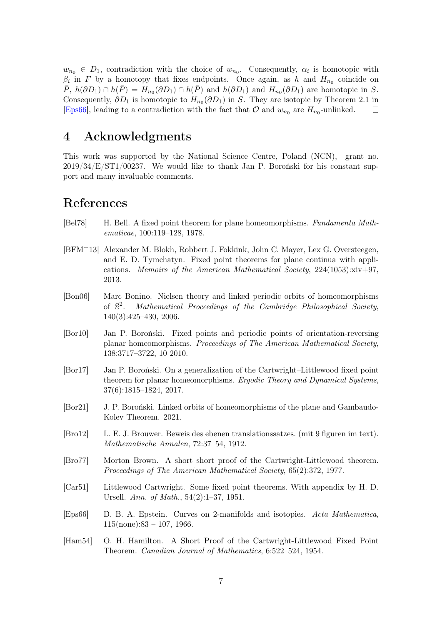$w_{n_0} \in D_1$ , contradiction with the choice of  $w_{n_0}$ . Consequently,  $\alpha_i$  is homotopic with  $\beta_i$  in F by a homotopy that fixes endpoints. Once again, as h and  $H_{n_0}$  coincide on  $\overline{P}$ ,  $h(\partial D_1) \cap h(\overline{P}) = H_{n_0}(\partial D_1) \cap h(\overline{P})$  and  $h(\partial D_1)$  and  $H_{n_0}(\partial D_1)$  are homotopic in S. Consequently,  $\partial D_1$  is homotopic to  $H_{n_0}(\partial D_1)$  in S. They are isotopic by Theorem 2.1 in [\[Eps66\]](#page-6-9), leading to a contradiction with the fact that  $\mathcal O$  and  $w_{n_0}$  are  $H_{n_0}$ -unlinked.  $\Box$ 

# 4 Acknowledgments

This work was supported by the National Science Centre, Poland (NCN), grant no. 2019/34/E/ST1/00237. We would like to thank Jan P. Boroński for his constant support and many invaluable comments.

# References

- <span id="page-6-4"></span>[Bel78] H. Bell. A fixed point theorem for plane homeomorphisms. Fundamenta Mathematicae, 100:119–128, 1978.
- <span id="page-6-6"></span>[BFM+13] Alexander M. Blokh, Robbert J. Fokkink, John C. Mayer, Lex G. Oversteegen, and E. D. Tymchatyn. Fixed point theorems for plane continua with applications. Memoirs of the American Mathematical Society,  $224(1053):xiv+97$ , 2013.
- <span id="page-6-7"></span>[Bon06] Marc Bonino. Nielsen theory and linked periodic orbits of homeomorphisms of S 2 . Mathematical Proceedings of the Cambridge Philosophical Society, 140(3):425–430, 2006.
- <span id="page-6-5"></span>[Bor10] Jan P. Boroński. Fixed points and periodic points of orientation-reversing planar homeomorphisms. Proceedings of The American Mathematical Society, 138:3717–3722, 10 2010.
- <span id="page-6-0"></span>[Bor17] Jan P. Boroński. On a generalization of the Cartwright–Littlewood fixed point theorem for planar homeomorphisms. Ergodic Theory and Dynamical Systems, 37(6):1815–1824, 2017.
- <span id="page-6-10"></span>[Bor21] J. P. Boroński. Linked orbits of homeomorphisms of the plane and Gambaudo-Kolev Theorem. 2021.
- <span id="page-6-8"></span>[Bro12] L. E. J. Brouwer. Beweis des ebenen translationssatzes. (mit 9 figuren im text). Mathematische Annalen, 72:37–54, 1912.
- <span id="page-6-3"></span>[Bro77] Morton Brown. A short short proof of the Cartwright-Littlewood theorem. Proceedings of The American Mathematical Society, 65(2):372, 1977.
- <span id="page-6-2"></span>[Car51] Littlewood Cartwright. Some fixed point theorems. With appendix by H. D. Ursell. Ann. of Math., 54(2):1–37, 1951.
- <span id="page-6-9"></span>[Eps66] D. B. A. Epstein. Curves on 2-manifolds and isotopies. Acta Mathematica,  $115$ (none):83 – 107, 1966.
- <span id="page-6-1"></span>[Ham54] O. H. Hamilton. A Short Proof of the Cartwright-Littlewood Fixed Point Theorem. Canadian Journal of Mathematics, 6:522–524, 1954.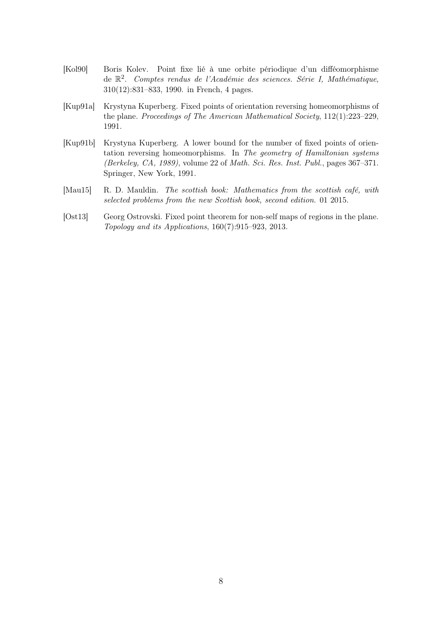- <span id="page-7-4"></span>[Kol90] Boris Kolev. Point fixe lié à une orbite périodique d'un difféomorphisme de  $\mathbb{R}^2$ . Comptes rendus de l'Académie des sciences. Série I, Mathématique, 310(12):831–833, 1990. in French, 4 pages.
- <span id="page-7-1"></span>[Kup91a] Krystyna Kuperberg. Fixed points of orientation reversing homeomorphisms of the plane. Proceedings of The American Mathematical Society, 112(1):223–229, 1991.
- <span id="page-7-0"></span>[Kup91b] Krystyna Kuperberg. A lower bound for the number of fixed points of orientation reversing homeomorphisms. In The geometry of Hamiltonian systems (Berkeley, CA, 1989), volume 22 of Math. Sci. Res. Inst. Publ., pages 367–371. Springer, New York, 1991.
- <span id="page-7-2"></span>[Mau15] R. D. Mauldin. The scottish book: Mathematics from the scottish café, with selected problems from the new Scottish book, second edition. 01 2015.
- <span id="page-7-3"></span>[Ost13] Georg Ostrovski. Fixed point theorem for non-self maps of regions in the plane. Topology and its Applications, 160(7):915–923, 2013.